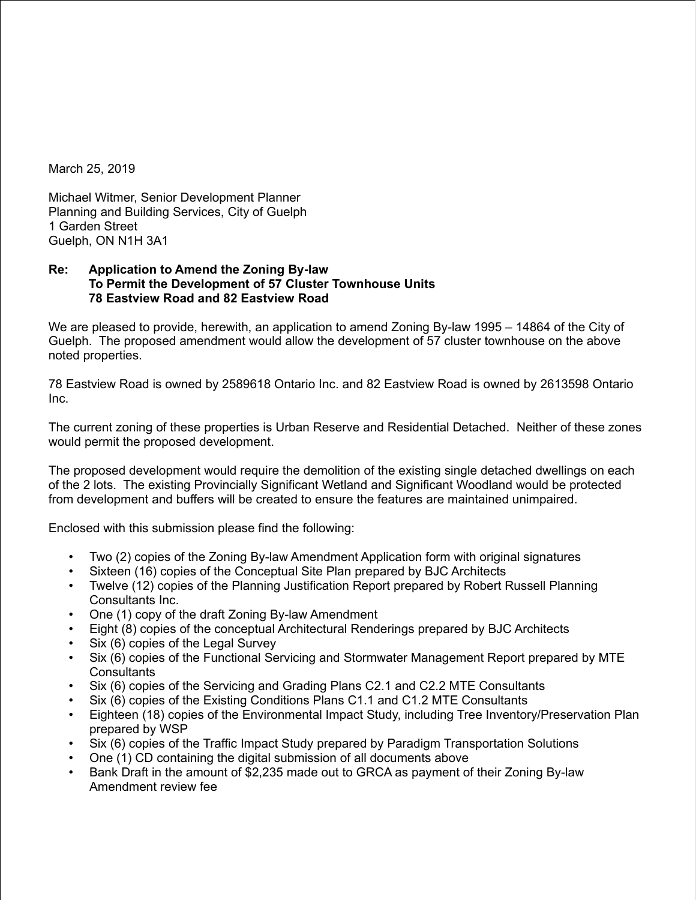March 25, 2019

Michael Witmer, Senior Development Planner Planning and Building Services, City of Guelph 1 Garden Street Guelph, ON N1H 3A1

## **Re: Application to Amend the Zoning By-law To Permit the Development of 57 Cluster Townhouse Units 78 Eastview Road and 82 Eastview Road**

We are pleased to provide, herewith, an application to amend Zoning By-law 1995 – 14864 of the City of Guelph. The proposed amendment would allow the development of 57 cluster townhouse on the above noted properties.

78 Eastview Road is owned by 2589618 Ontario Inc. and 82 Eastview Road is owned by 2613598 Ontario Inc.

The current zoning of these properties is Urban Reserve and Residential Detached. Neither of these zones would permit the proposed development.

The proposed development would require the demolition of the existing single detached dwellings on each of the 2 lots. The existing Provincially Significant Wetland and Significant Woodland would be protected from development and buffers will be created to ensure the features are maintained unimpaired.

Enclosed with this submission please find the following:

- Two (2) copies of the Zoning By-law Amendment Application form with original signatures<br>• Sixteen (16) copies of the Conceptual Site Plan prepared by BJC Architects
- Sixteen (16) copies of the Conceptual Site Plan prepared by BJC Architects
- Twelve (12) copies of the Planning Justification Report prepared by Robert Russell Planning Consultants Inc.
- One (1) copy of the draft Zoning By-law Amendment
- Eight (8) copies of the conceptual Architectural Renderings prepared by BJC Architects
- Six (6) copies of the Legal Survey
- Six (6) copies of the Functional Servicing and Stormwater Management Report prepared by MTE **Consultants**
- Six (6) copies of the Servicing and Grading Plans C2.1 and C2.2 MTE Consultants
- Six (6) copies of the Existing Conditions Plans C1.1 and C1.2 MTE Consultants
- Eighteen (18) copies of the Environmental Impact Study, including Tree Inventory/Preservation Plan prepared by WSP
- Six (6) copies of the Traffic Impact Study prepared by Paradigm Transportation Solutions
- One (1) CD containing the digital submission of all documents above
- Bank Draft in the amount of \$2,235 made out to GRCA as payment of their Zoning By-law Amendment review fee